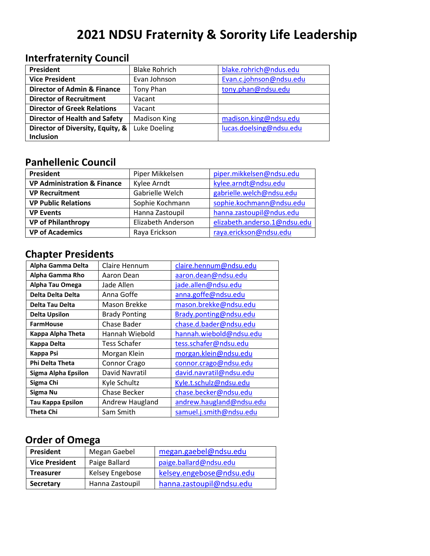# **2021 NDSU Fraternity & Sorority Life Leadership**

## **Interfraternity Council**

| President                              | <b>Blake Rohrich</b> | blake.rohrich@ndus.edu  |
|----------------------------------------|----------------------|-------------------------|
| <b>Vice President</b>                  | Evan Johnson         | Evan.c.johnson@ndsu.edu |
| <b>Director of Admin &amp; Finance</b> | Tony Phan            | tony.phan@ndsu.edu      |
| <b>Director of Recruitment</b>         | Vacant               |                         |
| <b>Director of Greek Relations</b>     | Vacant               |                         |
| <b>Director of Health and Safety</b>   | <b>Madison King</b>  | madison.king@ndsu.edu   |
| Director of Diversity, Equity, &       | Luke Doeling         | lucas.doelsing@ndsu.edu |
| Inclusion                              |                      |                         |

#### **Panhellenic Council**

| President                              | Piper Mikkelsen    | piper.mikkelsen@ndsu.edu     |
|----------------------------------------|--------------------|------------------------------|
| <b>VP Administration &amp; Finance</b> | Kylee Arndt        | kylee.arndt@ndsu.edu         |
| <b>VP Recruitment</b>                  | Gabrielle Welch    | gabrielle.welch@ndsu.edu     |
| <b>VP Public Relations</b>             | Sophie Kochmann    | sophie.kochmann@ndsu.edu     |
| <b>VP Events</b>                       | Hanna Zastoupil    | hanna.zastoupil@ndus.edu     |
| <b>VP of Philanthropy</b>              | Elizabeth Anderson | elizabeth.anderso.1@ndsu.edu |
| <b>VP of Academics</b>                 | Raya Erickson      | raya.erickson@ndsu.edu       |

### **Chapter Presidents**

| Alpha Gamma Delta        | Claire Hennum        | claire.hennum@ndsu.edu   |
|--------------------------|----------------------|--------------------------|
| Alpha Gamma Rho          | Aaron Dean           | aaron.dean@ndsu.edu      |
| Alpha Tau Omega          | Jade Allen           | jade.allen@ndsu.edu      |
| Delta Delta Delta        | Anna Goffe           | anna.goffe@ndsu.edu      |
| Delta Tau Delta          | Mason Brekke         | mason.brekke@ndsu.edu    |
| <b>Delta Upsilon</b>     | <b>Brady Ponting</b> | Brady.ponting@ndsu.edu   |
| <b>FarmHouse</b>         | Chase Bader          | chase.d.bader@ndsu.edu   |
| Kappa Alpha Theta        | Hannah Wiebold       | hannah.wiebold@ndsu.edu  |
| Kappa Delta              | Tess Schafer         | tess.schafer@ndsu.edu    |
| Kappa Psi                | Morgan Klein         | morgan.klein@ndsu.edu    |
| <b>Phi Delta Theta</b>   | Connor Crago         | connor.crago@ndsu.edu    |
| Sigma Alpha Epsilon      | David Navratil       | david.navratil@ndsu.edu  |
| Sigma Chi                | Kyle Schultz         | Kyle.t.schulz@ndsu.edu   |
| Sigma Nu                 | Chase Becker         | chase.becker@ndsu.edu    |
| <b>Tau Kappa Epsilon</b> | Andrew Haugland      | andrew.haugland@ndsu.edu |
| <b>Theta Chi</b>         | Sam Smith            | samuel.j.smith@ndsu.edu  |

### **Order of Omega**

| <b>President</b>      | Megan Gaebel    | megan.gaebel@ndsu.edu    |  |
|-----------------------|-----------------|--------------------------|--|
| <b>Vice President</b> | Paige Ballard   | paige.ballard@ndsu.edu   |  |
| <b>Treasurer</b>      | Kelsey Engebose | kelsey.engebose@ndsu.edu |  |
| Secretary             | Hanna Zastoupil | hanna.zastoupil@ndsu.edu |  |